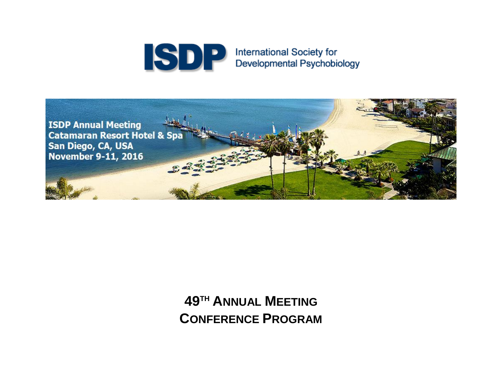



# **49TH ANNUAL MEETING CONFERENCE PROGRAM**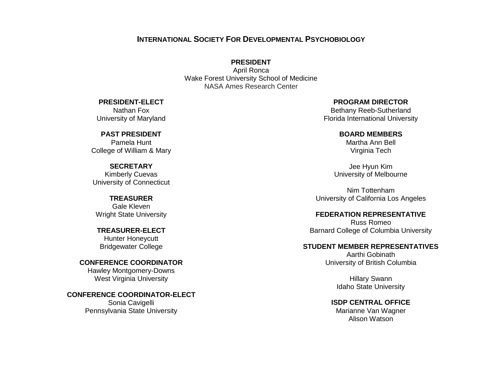### **INTERNATIONAL SOCIETY FOR DEVELOPMENTAL PSYCHOBIOLOGY**

### **PRESIDENT**

April Ronca Wake Forest University School of Medicine NASA Ames Research Center

**PRESIDENT-ELECT**

Nathan Fox University of Maryland

**PAST PRESIDENT** Pamela Hunt College of William & Mary

**SECRETARY** Kimberly Cuevas University of Connecticut

**TREASURER** Gale Kleven Wright State University

**TREASURER-ELECT** Hunter Honeycutt Bridgewater College

**CONFERENCE COORDINATOR** Hawley Montgomery-Downs West Virginia University

**CONFERENCE COORDINATOR-ELECT** Sonia Cavigelli Pennsylvania State University

### **PROGRAM DIRECTOR**

Bethany Reeb-Sutherland Florida International University

### **BOARD MEMBERS**

Martha Ann Bell Virginia Tech

Jee Hyun Kim University of Melbourne

Nim Tottenham University of California Los Angeles

### **FEDERATION REPRESENTATIVE**

Russ Romeo Barnard College of Columbia University

### **STUDENT MEMBER REPRESENTATIVES**

Aarthi Gobinath University of British Columbia

> Hillary Swann Idaho State University

**ISDP CENTRAL OFFICE** Marianne Van Wagner Alison Watson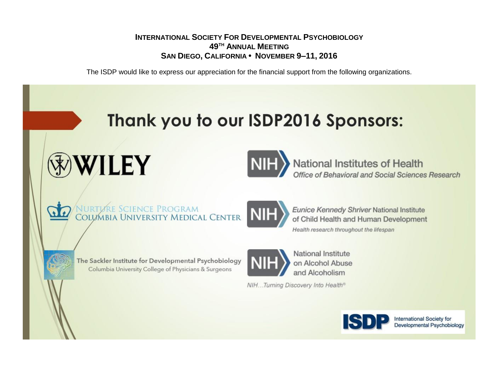### **INTERNATIONAL SOCIETY FOR DEVELOPMENTAL PSYCHOBIOLOGY 49TH ANNUAL MEETING SAN DIEGO, CALIFORNIA • NOVEMBER 9–11, 2016**

The ISDP would like to express our appreciation for the financial support from the following organizations.

# Thank you to our ISDP2016 Sponsors:





National Institutes of Health<br>Office of Behavioral and Social Sciences Research



NURTURE SCIENCE PROGRAM<br>COLUMBIA UNIVERSITY MEDICAL CENTER



**Eunice Kennedy Shriver National Institute** of Child Health and Human Development Health research throughout the lifespan



The Sackler Institute for Developmental Psychobiology Columbia University College of Physicians & Surgeons



National Institute on Alcohol Abuse and Alcoholism

NIH...Turning Discovery Into Health®

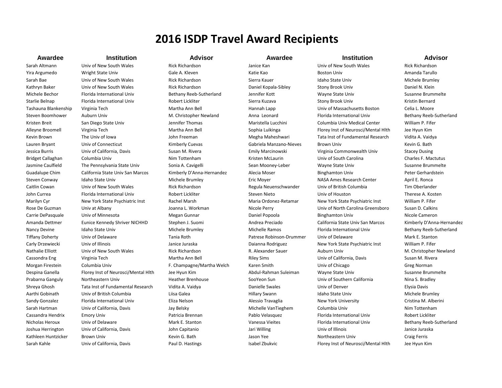## **2016 ISDP Travel Award Recipients**

Sarah Altmann Univ of New South Wales Rick Richardson New South Univ of New South Wales Rick Richardson Rick Richardson

### **Awardee Institution Advisor Awardee Institution Advisor**

Yira Argumedo Wright State Univ Cale A. Kleven Katie Kao Boston Univ Boston Univ Amanda Tarullo Sarah Bae Sarah Bae Univ of New South Wales Rick Richardson Sierra Kauer Sierra Kauer Idaho State Univ Michele Brumley Kathryn Baker **Univ of New South Wales** Rick Richardson **Daniel Kopala-Sibley Stony Brook Univ Daniel N. Klein** Michele Bechor Florida International Univ Bethany Reeb-Sutherland Jennifer Kott Wayne State Univ Susanne Brummelte Starlie Belnap Florida International Univ Robert Lickliter Sierra Kuzava Stony Brook Univ Kristin Bernard Kristin Bernard Tashauna Blankenship Virginia Tech **Martha Ann Bell** Hannah Lapp Hannah Lapp Univ of Massachusetts Boston Celia L. Moore Steven Boomhower Auburn Univ **M. Christopher Newland** Anna Leonard Florida International Univ Bethany Reeb-Sutherland Kristen Breit San Diego State Univ Jennifer Thomas Maristella Lucchini Columbia Univ Medical Center William P. Fifer Alleyne Broomell Virginia Tech **Martha Ann Bell** Sophia Luikinga Florey Inst of Neurosci/Mental Hlth Jee Hyun Kim Kevin Brown The Univ of Iowa Samus Hotel Hotel Assement Megha Maheshwari Tata Inst of Fundamental Research Vidita A. Vaidya Lauren Bryant Univ of Connecticut Connecticut Kimberly Cuevas Gabriela Manzano-Nieves Brown Univ Kevin G. Bath Jessica Burris **Univ of California, Davis** Susan M. Rivera **Emily Marcinowski** Virginia Commonwealth Univ Stacey Dusing Bridget Callaghan Columbia Univ **Nim Tottenham Kristen McLaurin** Univ of South Carolina Charles F. Mactutus Charles F. Mactutus Jasmine Caulfield The Pennsylvania State Univ Sonia A. Cavigelli Sean Mooney-Leber Wayne State Univ Susanne Brummelte Guadalupe Chim California State Univ San Marcos Kimberly D'Anna-Hernandez Alecia Moser Binghamton Univ Peter Gerhardstein Steven Conway Idaho State Univ **Idaho State Univ** Michele Brumley Eric Moyer **Example Convert Center** April E. Ronca Caitlin Cowan Univ of New South Wales Rick Richardson Regula Neuenschwander Univ of British Columbia Tim Oberlander John Currea **Florida International Univ** Robert Lickliter Steven Nieto Univ of Houston Therese A. Kosten Therese A. Kosten Robert Lickliter Steven Nieto Univ of Houston Therese A. Kosten Marilyn Cyr New York State Psychiatric Inst Rachel Marsh Maria Ordonez-Retamar New York State Psychiatric Inst William P. Fifer Rose De Guzman Univ at Albany Nicole De Toanna L. Workman Nicole Perry Busin Communiv of North Carolina Greensboro Susan D. Calkins Carrie DePasquale Univ of Minnesota Negan Gunnar Negan Gunnar Daniel Popoola Binghamton Univ Nicole Cameron Nicole Cameron Amanda Dettmer Eunice Kennedy Shriver NICHHD Stephen J. Suomi Andrea Preciado California State Univ San Marcos Kimberly D'Anna-Hernandez Nancy Devine Idaho State Univ **Michele Brumley Michele Ramos** Michelle Ramos Florida International Univ Bethany Reeb-Sutherland Tiffany Doherty Univ of Delaware Tania Roth Tania Roth Patrese Robinson-Drummer Univ of Delaware Mark E. Stanton Carly Drzewiecki Univ of Illinois **State Products** Janice Juraska Daianna Rodriguez New York State Psychiatric Inst William P. Fifer Nathalie Elliott Univ of New South Wales Rick Richardson Rick Richardson R. Alexander Sauer Auburn Univ M. Christopher Newland Cassondra Eng Virginia Tech Cassondra Eng Virginia Tech Martha Ann Bell Riley Sims Univ of California, Davis Susan M. Rivera Morgan Firestein Columbia Univ F. Champagne/Martha Welch Karen Smith Univ of Chicago Greg Norman Greg Norman Despina Ganella Florey Inst of Neurosci/Mental Hlth Jee Hyun Kim Abdul-Rahman Suleiman Wayne State Univ Susanne Brummelte Prabarna Ganguly Northeastern Univ Heather Brenhouse SooYeon Sun Univ of Southern California Nina S. Bradley Shreya Ghosh Tata Inst of Fundamental Research Vidita A. Vaidya Danielle Swales Danielle Swales Univ of Denver Elysia Davis Davis Aarthi Gobinath Univ of British Columbia Liisa Galea Liisa Galea Hillary Swann Idaho State Univ Michele Brumley Sandy Gonzalez Florida International Univ Eliza Nelson Alessio Travaglia New York University Cristina M. Alberini Cristina M. Alberini Sarah Hartman Univ of California, Davis Jay Belsky Michelle VanTieghem Columbia Univ Nim Tottenham Cassandra Hendrix Emory Univ Patricia Brennan Pablo Velasquez Florida International Univ Robert Lickliter Nicholas Heroux Univ of Delaware Mark E. Stanton Mark E. Stanton Vanessa Vieites Florida International Univ Bethany Reeb-Sutherland Joshua Herrington Univ of California, Davis John Capitanio Jari Willing Univ of Illinois Janice Juraska Kathleen Huntzicker Brown Univ **Keyth Craig Ferris** Kevin G. Bath Jason Yee Northeastern Univ Craig Ferris Craig Ferris Sarah Kahle Univ of California, Davis Paul D. Hastings Isabel Zbukvic Florey Inst of Neurosci/Mental Hlth Jee Hyun Kim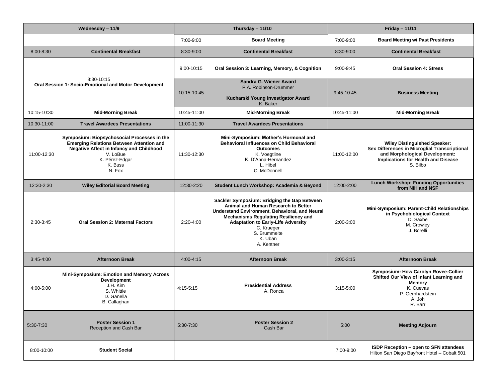| Wednesday - 11/9                                                    |                                                                                                                                                                                                      | Thursday - 11/10 |                                                                                                                                                                                                                                                                                         | <b>Friday - 11/11</b> |                                                                                                                                                                           |
|---------------------------------------------------------------------|------------------------------------------------------------------------------------------------------------------------------------------------------------------------------------------------------|------------------|-----------------------------------------------------------------------------------------------------------------------------------------------------------------------------------------------------------------------------------------------------------------------------------------|-----------------------|---------------------------------------------------------------------------------------------------------------------------------------------------------------------------|
|                                                                     |                                                                                                                                                                                                      | 7:00-9:00        | <b>Board Meeting</b>                                                                                                                                                                                                                                                                    | 7:00-9:00             | <b>Board Meeting w/ Past Presidents</b>                                                                                                                                   |
| 8:00-8:30                                                           | <b>Continental Breakfast</b>                                                                                                                                                                         | 8:30-9:00        | <b>Continental Breakfast</b>                                                                                                                                                                                                                                                            | 8:30-9:00             | <b>Continental Breakfast</b>                                                                                                                                              |
|                                                                     |                                                                                                                                                                                                      | 9:00-10:15       | Oral Session 3: Learning, Memory, & Cognition                                                                                                                                                                                                                                           | 9:00-9:45             | <b>Oral Session 4: Stress</b>                                                                                                                                             |
| 8:30-10:15<br>Oral Session 1: Socio-Emotional and Motor Development |                                                                                                                                                                                                      | 10:15-10:45      | Sandra G. Wiener Award<br>P.A. Robinson-Drummer<br>Kucharski Young Investigator Award<br>K. Baker                                                                                                                                                                                       | 9:45-10:45            | <b>Business Meeting</b>                                                                                                                                                   |
| 10:15-10:30                                                         | <b>Mid-Morning Break</b>                                                                                                                                                                             | 10:45-11:00      | <b>Mid-Morning Break</b>                                                                                                                                                                                                                                                                | 10:45-11:00           | <b>Mid-Morning Break</b>                                                                                                                                                  |
| 10:30-11:00                                                         | <b>Travel Awardees Presentations</b>                                                                                                                                                                 | 11:00-11:30      | <b>Travel Awardees Presentations</b>                                                                                                                                                                                                                                                    |                       |                                                                                                                                                                           |
| 11:00-12:30                                                         | Symposium: Biopsychosocial Processes in the<br><b>Emerging Relations Between Attention and</b><br><b>Negative Affect in Infancy and Childhood</b><br>V. LoBue<br>K. Pérez-Edgar<br>K. Buss<br>N. Fox | 11:30-12:30      | Mini-Symposium: Mother's Hormonal and<br><b>Behavioral Influences on Child Behavioral</b><br><b>Outcomes</b><br>K. Voegtline<br>K. D'Anna-Hernandez<br>L. Hibel<br>C. McDonnell                                                                                                         | 11:00-12:00           | <b>Wiley Distinguished Speaker:</b><br>Sex Differences in Microglial Transcriptional<br>and Morphological Development:<br>Implications for Health and Disease<br>S. Bilbo |
| 12:30-2:30                                                          | <b>Wiley Editorial Board Meeting</b>                                                                                                                                                                 | 12:30-2:20       | Student Lunch Workshop: Academia & Beyond                                                                                                                                                                                                                                               | 12:00-2:00            | <b>Lunch Workshop: Funding Opportunities</b><br>from NIH and NSF                                                                                                          |
| 2:30-3:45                                                           | <b>Oral Session 2: Maternal Factors</b>                                                                                                                                                              | $2:20-4:00$      | Sackler Symposium: Bridging the Gap Between<br>Animal and Human Research to Better<br>Understand Environment, Behavioral, and Neural<br><b>Mechanisms Regulating Resiliency and</b><br><b>Adaptation to Early-Life Adversity</b><br>C. Krueger<br>S. Brummelte<br>K. Uban<br>A. Kentner | 2:00-3:00             | Mini-Symposium: Parent-Child Relationships<br>in Psychobiological Context<br>D. Saxbe<br>M. Crowley<br>J. Borelli                                                         |
| $3:45 - 4:00$                                                       | <b>Afternoon Break</b>                                                                                                                                                                               | $4:00 - 4:15$    | <b>Afternoon Break</b>                                                                                                                                                                                                                                                                  | $3:00 - 3:15$         | <b>Afternoon Break</b>                                                                                                                                                    |
| 4:00-5:00                                                           | Mini-Symposium: Emotion and Memory Across<br><b>Development</b><br>J.H. Kim<br>S. Whittle<br>D. Ganella<br>B. Callaghan                                                                              | $4:15-5:15$      | <b>Presidential Address</b><br>A. Ronca                                                                                                                                                                                                                                                 | $3:15 - 5:00$         | <b>Symposium: How Carolyn Rovee-Collier</b><br>Shifted Our View of Infant Learning and<br>Memory<br>K. Cuevas<br>P. Gernhardstein<br>A. Joh<br>R. Barr                    |
| $5:30-7:30$                                                         | <b>Poster Session 1</b><br>Reception and Cash Bar                                                                                                                                                    | $5:30 - 7:30$    | <b>Poster Session 2</b><br>Cash Bar                                                                                                                                                                                                                                                     | 5:00                  | <b>Meeting Adjourn</b>                                                                                                                                                    |
| 8:00-10:00                                                          | <b>Student Social</b>                                                                                                                                                                                |                  |                                                                                                                                                                                                                                                                                         | 7:00-9:00             | ISDP Reception - open to SFN attendees<br>Hilton San Diego Bayfront Hotel - Cobalt 501                                                                                    |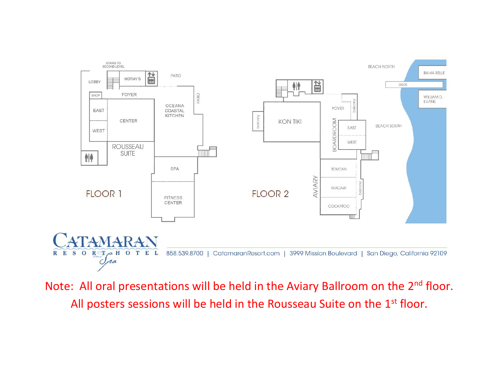

Note: All oral presentations will be held in the Aviary Ballroom on the 2<sup>nd</sup> floor. All posters sessions will be held in the Rousseau Suite on the 1<sup>st</sup> floor.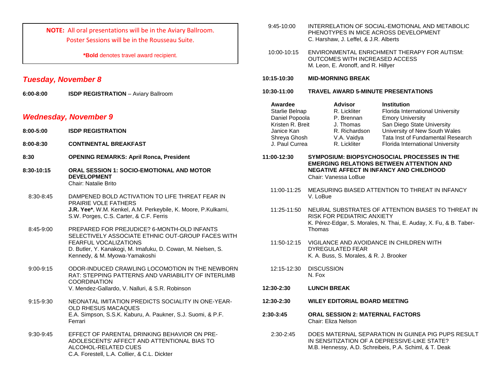**NOTE:** All oral presentations will be in the Aviary Ballroom. Poster Sessions will be in the Rousseau Suite.

**\*Bold** denotes travel award recipient.

### *Tuesday, November 8*

**6:00-8:00 ISDP REGISTRATION** – Aviary Ballroom

### *Wednesday, November 9*

- **8:00-5:00 ISDP REGISTRATION**
- **8:00-8:30 CONTINENTAL BREAKFAST**
- **8:30 OPENING REMARKS: April Ronca, President**
- **8:30-10:15 ORAL SESSION 1: SOCIO-EMOTIONAL AND MOTOR DEVELOPMENT** Chair: Natalie Brito
- 8:30-8:45 DAMPENED BOLD ACTIVATION TO LIFE THREAT FEAR IN PRAIRIE VOLE FATHERS **J.R. Yee\***, W.M. Kenkel, A.M. Perkeybile, K. Moore, P.Kulkarni, S.W. Porges, C.S. Carter, & C.F. Ferris
- 8:45-9:00 PREPARED FOR PREJUDICE? 6-MONTH-OLD INFANTS SELECTIVELY ASSOCIATE ETHNIC OUT-GROUP FACES WITH FEARFUL VOCALIZATIONS D. Butler, Y. Kanakogi, M. Imafuku, D. Cowan, M. Nielsen, S. Kennedy, & M. Myowa-Yamakoshi
- 9:00-9:15 ODOR-INDUCED CRAWLING LOCOMOTION IN THE NEWBORN RAT: STEPPING PATTERNS AND VARIABILITY OF INTERLIMB **COORDINATION** V. Mendez-Gallardo, V. Nalluri, & S.R. Robinson
- 9:15-9:30 NEONATAL IMITATION PREDICTS SOCIALITY IN ONE-YEAR-OLD RHESUS MACAQUES E.A. Simpson, S.S.K. Kaburu, A. Paukner, S.J. Suomi, & P.F. Ferrari
- 9:30-9:45 EFFECT OF PARENTAL DRINKING BEHAVIOR ON PRE-ADOLESCENTS' AFFECT AND ATTENTIONAL BIAS TO ALCOHOL-RELATED CUES C.A. Forestell, L.A. Collier, & C.L. Dickter
- 9:45-10:00 INTERRELATION OF SOCIAL-EMOTIONAL AND METABOLIC PHENOTYPES IN MICE ACROSS DEVELOPMENT C. Harshaw, J. Leffel, & J.R. Alberts
- 10:00-10:15 ENVIRONMENTAL ENRICHMENT THERAPY FOR AUTISM: OUTCOMES WITH INCREASED ACCESS M. Leon, E. Aronoff, and R. Hillyer
- **10:15-10:30 MID-MORNING BREAK**
- **10:30-11:00 TRAVEL AWARD 5-MINUTE PRESENTATIONS**

| Awardee                        | <b>Advisor</b>              | <b>Institution</b>                                                    |
|--------------------------------|-----------------------------|-----------------------------------------------------------------------|
| Starlie Belnap                 | R. Lickliter                | Florida International University                                      |
| Daniel Popoola                 | P. Brennan                  | <b>Emory University</b>                                               |
| Kristen R. Breit               | J. Thomas                   | San Diego State University                                            |
| Janice Kan                     | R. Richardson               | University of New South Wales                                         |
| Shreya Ghosh<br>J. Paul Currea | V.A. Vaidya<br>R. Lickliter | Tata Inst of Fundamental Research<br>Florida International University |
|                                |                             |                                                                       |

- **11:00-12:30 SYMPOSIUM: BIOPSYCHOSOCIAL PROCESSES IN THE EMERGING RELATIONS BETWEEN ATTENTION AND NEGATIVE AFFECT IN INFANCY AND CHILDHOOD** Chair: Vanessa LoBue
	- 11:00-11:25 MEASURING BIASED ATTENTION TO THREAT IN INFANCY V. LoBue
	- 11:25-11:50 NEURAL SUBSTRATES OF ATTENTION BIASES TO THREAT IN RISK FOR PEDIATRIC ANXIETY K. Pérez-Edgar, S. Morales, N. Thai, E. Auday, X. Fu, & B. Taber-Thomas
	- 11:50-12:15 VIGILANCE AND AVOIDANCE IN CHILDREN WITH DYREGULATED FEAR K. A. Buss, S. Morales, & R. J. Brooker
- 12:15-12:30 DISCUSSION N. Fox
- **12:30-2:30 LUNCH BREAK**
- **12:30-2:30 WILEY EDITORIAL BOARD MEETING**
- **2:30-3:45 ORAL SESSION 2: MATERNAL FACTORS** Chair: Eliza Nelson
	- 2:30-2:45 DOES MATERNAL SEPARATION IN GUINEA PIG PUPS RESULT IN SENSITIZATION OF A DEPRESSIVE-LIKE STATE? M.B. Hennessy, A.D. Schreibeis, P.A. Schiml, & T. Deak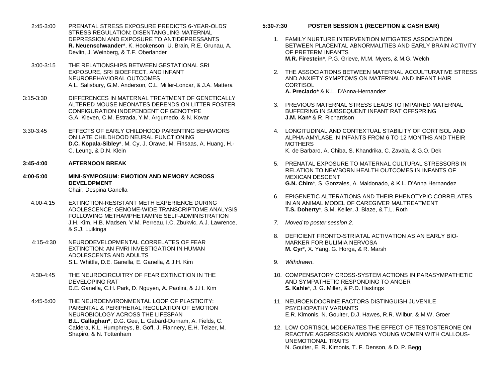- 2:45-3:00 PRENATAL STRESS EXPOSURE PREDICTS 6-YEAR-OLDS' STRESS REGULATION: DISENTANGLING MATERNAL DEPRESSION AND EXPOSURE TO ANTIDEPRESSANTS **R. Neuenschwander**\*, K. Hookenson, U. Brain, R.E. Grunau, A. Devlin, J. Weinberg, & T.F. Oberlander
- 3:00-3:15 THE RELATIONSHIPS BETWEEN GESTATIONAL SRI EXPOSURE, SRI BIOEFFECT, AND INFANT NEUROBEHAVIORAL OUTCOMES A.L. Salisbury, G.M. Anderson, C.L. Miller-Loncar, & J.A. Mattera
- 3:15-3:30 DIFFERENCES IN MATERNAL TREATMENT OF GENETICALLY ALTERED MOUSE NEONATES DEPENDS ON LITTER FOSTER CONFIGURATION INDEPENDENT OF GENOTYPE G.A. Kleven, C.M. Estrada, Y.M. Argumedo, & N. Kovar
- 3:30-3:45 EFFECTS OF EARLY CHILDHOOD PARENTING BEHAVIORS ON LATE CHILDHOOD NEURAL FUNCTIONING **D.C. Kopala-Sibley**\*, M. Cy, J. Orawe, M. Finsaas, A. Huang, H.- C. Leung, & D.N. Klein
- **3:45-4:00 AFTERNOON BREAK**
- **4:00-5:00 MINI-SYMPOSIUM: EMOTION AND MEMORY ACROSS DEVELOPMENT** Chair: Despina Ganella
	- 4:00-4:15 EXTINCTION-RESISTANT METH EXPERIENCE DURING ADOLESCENCE: GENOME-WIDE TRANSCRIPTOME ANALYSIS FOLLOWING METHAMPHETAMINE SELF-ADMINISTRATION J.H. Kim, H.B. Madsen, V.M. Perreau, I.C. Zbukvic, A.J. Lawrence, & S.J. Luikinga
	- 4:15-4:30 NEURODEVELOPMENTAL CORRELATES OF FEAR EXTINCTION: AN FMRI INVESTIGATION IN HUMAN ADOLESCENTS AND ADULTS S.L. Whittle, D.E. Ganella, E. Ganella, & J.H. Kim
	- 4:30-4:45 THE NEUROCIRCUITRY OF FEAR EXTINCTION IN THE DEVELOPING RAT D.E. Ganella, C.H. Park, D. Nguyen, A. Paolini, & J.H. Kim
	- 4:45-5:00 THE NEUROENVIRONMENTAL LOOP OF PLASTICITY: PARENTAL & PERIPHERAL REGULATION OF EMOTION NEUROBIOLOGY ACROSS THE LIFESPAN **B.L. Callaghan\***, D.G. Gee, L. Gabard-Durnam, A. Fields, C. Caldera, K.L. Humphreys, B. Goff, J. Flannery, E.H. Telzer, M. Shapiro, & N. Tottenham
- **5:30-7:30 POSTER SESSION 1 (RECEPTION & CASH BAR)**
	- 1. FAMILY NURTURE INTERVENTION MITIGATES ASSOCIATION BETWEEN PLACENTAL ABNORMALITIES AND EARLY BRAIN ACTIVITY OF PRETERM INFANTS **M.R. Firestein**\*, P.G. Grieve, M.M. Myers, & M.G. Welch
	- 2. THE ASSOCIATIONS BETWEEN MATERNAL ACCULTURATIVE STRESS AND ANXIETY SYMPTOMS ON MATERNAL AND INFANT HAIR **CORTISOL A. Preciado\*** & K.L. D'Anna-Hernandez
	- 3. PREVIOUS MATERNAL STRESS LEADS TO IMPAIRED MATERNAL BUFFERING IN SUBSEQUENT INFANT RAT OFFSPRING **J.M. Kan\*** & R. Richardson
	- 4. LONGITUDINAL AND CONTEXTUAL STABILITY OF CORTISOL AND ALPHA-AMYLASE IN INFANTS FROM 6 TO 12 MONTHS AND THEIR MOTHERS K. de Barbaro, A. Chiba, S. Khandrika, C. Zavala, & G.O. Dek
	- 5. PRENATAL EXPOSURE TO MATERNAL CULTURAL STRESSORS IN RELATION TO NEWBORN HEALTH OUTCOMES IN INFANTS OF MEXICAN DESCENT **G.N. Chim**\*, S. Gonzales, A. Maldonado, & K.L. D'Anna Hernandez
	- 6. EPIGENETIC ALTERATIONS AND THEIR PHENOTYPIC CORRELATES IN AN ANIMAL MODEL OF CAREGIVER MALTREATMENT **T.S. Doherty**\*, S.M. Keller, J. Blaze, & T.L. Roth
	- *7. Moved to poster session 2.*
	- 8. DEFICIENT FRONTO-STRIATAL ACTIVATION AS AN EARLY BIO-MARKER FOR BULIMIA NERVOSA **M. Cyr**\*, X. Yang, G. Horga, & R. Marsh
	- 9. *Withdrawn*.
	- 10. COMPENSATORY CROSS-SYSTEM ACTIONS IN PARASYMPATHETIC AND SYMPATHETIC RESPONDING TO ANGER **S. Kahle**\*, J. G. Miller, & P.D. Hastings
	- 11. NEUROENDOCRINE FACTORS DISTINGUISH JUVENILE PSYCHOPATHY VARIANTS E.R. Kimonis, N. Goulter, D.J. Hawes, R.R. Wilbur, & M.W. Groer
	- 12. LOW CORTISOL MODERATES THE EFFECT OF TESTOSTERONE ON REACTIVE AGGRESSION AMONG YOUNG WOMEN WITH CALLOUS-UNEMOTIONAL TRAITS N. Goulter, E. R. Kimonis, T. F. Denson, & D. P. Begg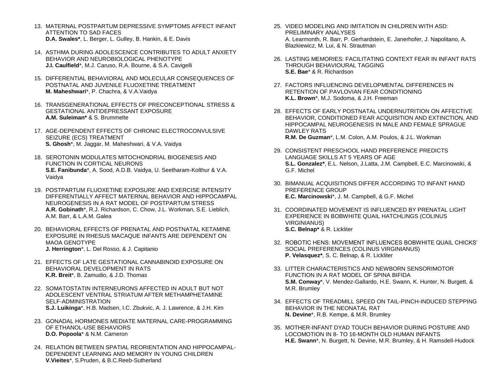- 13. MATERNAL POSTPARTUM DEPRESSIVE SYMPTOMS AFFECT INFANT ATTENTION TO SAD FACES **D.A. Swales\***, L. Berger, L. Gulley, B. Hankin, & E. Davis
- 14. ASTHMA DURING ADOLESCENCE CONTRIBUTES TO ADULT ANXIETY BEHAVIOR AND NEUROBIOLOGICAL PHENOTYPE **J.I. Caulfield**\*, M.J. Caruso, R.A. Bourne, & S.A. Cavigelli
- 15. DIFFERENTIAL BEHAVIORAL AND MOLECULAR CONSEQUENCES OF POSTNATAL AND JUVENILE FLUOXETINE TREATMENT **M. Maheshwari**\*, P. Chachra, & V.A.Vaidya
- 16. TRANSGENERATIONAL EFFECTS OF PRECONCEPTIONAL STRESS & GESTATIONAL ANTIDEPRESSANT EXPOSURE **A.M. Suleiman\*** & S. Brummelte
- 17. AGE-DEPENDENT EFFECTS OF CHRONIC ELECTROCONVULSIVE SEIZURE (ECS) TREATMENT **S. Ghosh**\*, M. Jaggar, M. Maheshwari, & V.A. Vaidya
- 18. SEROTONIN MODULATES MITOCHONDRIAL BIOGENESIS AND FUNCTION IN CORTICAL NEURONS **S.E. Fanibunda**\*, A. Sood, A.D.B. Vaidya, U. Seetharam-Kolthur & V.A. Vaidya
- 19. POSTPARTUM FLUOXETINE EXPOSURE AND EXERCISE INTENSITY DIFFERENTIALLY AFFECT MATERNAL BEHAVIOR AND HIPPOCAMPAL NEUROGENESIS IN A RAT MODEL OF POSTPARTUM STRESS **A.R. Gobinath**\*, R.J. Richardson, C. Chow, J.L. Workman, S.E. Lieblich, A.M. Barr, & L.A.M. Galea
- 20. BEHAVIORAL EFFECTS OF PRENATAL AND POSTNATAL KETAMINE EXPOSURE IN RHESUS MACAQUE INFANTS ARE DEPENDENT ON MAOA GENOTYPE **J. Herrington**\*, L. Del Rosso, & J. Capitanio
- 21. EFFECTS OF LATE GESTATIONAL CANNABINOID EXPOSURE ON BEHAVIORAL DEVELOPMENT IN RATS **K.R. Breit**\*, B. Zamudio, & J.D. Thomas
- 22. SOMATOSTATIN INTERNEURONS AFFECTED IN ADULT BUT NOT ADOLESCENT VENTRAL STRIATUM AFTER METHAMPHETAMINE SELF-ADMINISTRATION **S.J. Luikinga**\*, H.B. Madsen, I.C. Zbukvic, A. J. Lawrence, & J.H. Kim
- 23. GONADAL HORMONES MEDIATE MATERNAL CARE-PROGRAMMING OF ETHANOL-USE BEHAVIORS **D.O. Popoola**\* & N.M. Cameron
- 24. RELATION BETWEEN SPATIAL REORIENTATION AND HIPPOCAMPAL-DEPENDENT LEARNING AND MEMORY IN YOUNG CHILDREN **V.Vieites**\*, S.Pruden, & B.C.Reeb-Sutherland
- 25. VIDEO MODELING AND IMITATION IN CHILDREN WITH ASD: PRELIMINARY ANALYSES A. Learmonth, R. Barr, P. Gerhardstein, E. Janerhofer, J. Napolitano, A. Blazkiewicz, M. Lui, & N. Strautman
- 26. LASTING MEMORIES: FACILITATING CONTEXT FEAR IN INFANT RATS THROUGH BEHAVIOURAL TAGGING **S.E. Bae**\* & R. Richardson
- 27. FACTORS INFLUENCING DEVELOPMENTAL DIFFERENCES IN RETENTION OF PAVLOVIAN FEAR CONDITIONING **K.L. Brown**\*, M.J. Sodoma, & J.H. Freeman
- 28. EFFECTS OF EARLY POSTNATAL UNDERNUTRITION ON AFFECTIVE BEHAVIOR, CONDITIONED FEAR ACQUISITION AND EXTINCTION, AND HIPPOCAMPAL NEUROGENESIS IN MALE AND FEMALE SPRAGUE DAWLEY RATS **R.M. De Guzman**\*, L.M. Colon, A.M. Poulos, & J.L. Workman
- 29. CONSISTENT PRESCHOOL HAND PREFERENCE PREDICTS LANGUAGE SKILLS AT 5 YEARS OF AGE **S.L. Gonzalez\***, E.L. Nelson, J.Latta, J.M. Campbell, E.C. Marcinowski, & G.F. Michel
- 30. BIMANUAL ACQUISITIONS DIFFER ACCORDING TO INFANT HAND PREFERENCE GROUP **E.C. Marcinowski**\*, J. M. Campbell, & G.F. Michel
- 31. COORDINATED MOVEMENT IS INFLUENCED BY PRENATAL LIGHT EXPERIENCE IN BOBWHITE QUAIL HATCHLINGS (COLINUS VIRGINIANUS) **S.C. Belnap\*** & R. Lickliter
- 32. ROBOTIC HENS: MOVEMENT INFLUENCES BOBWHITE QUAIL CHICKS' SOCIAL PREFERENCES (COLINUS VIRGINIANUS) **P. Velasquez\***, S. C. Belnap, & R. Lickliter
- 33. LITTER CHARACTERISTICS AND NEWBORN SENSORIMOTOR FUNCTION IN A RAT MODEL OF SPINA BIFIDA **S.M. Conway**\*, V. Mendez-Gallardo, H.E. Swann, K. Hunter, N. Burgett, & M.R. Brumley
- 34. EFFECTS OF TREADMILL SPEED ON TAIL-PINCH-INDUCED STEPPING BEHAVIOR IN THE NEONATAL RAT **N. Devine**\*, R.B. Kempe, & M.R. Brumley
- 35. MOTHER-INFANT DYAD TOUCH BEHAVIOR DURING POSTURE AND LOCOMOTION IN 8- TO 16-MONTH OLD HUMAN INFANTS **H.E. Swann**\*, N. Burgett, N. Devine, M.R. Brumley, & H. Ramsdell-Hudock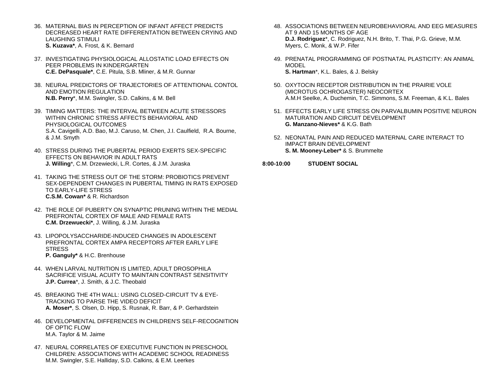- 36. MATERNAL BIAS IN PERCEPTION OF INFANT AFFECT PREDICTS DECREASED HEART RATE DIFFERENTATION BETWEEN CRYING AND LAUGHING STIMULI **S. Kuzava\***, A. Frost, & K. Bernard
- 37. INVESTIGATING PHYSIOLOGICAL ALLOSTATIC LOAD EFFECTS ON PEER PROBLEMS IN KINDERGARTEN **C.E. DePasquale\***, C.E. Pitula, S.B. Mliner, & M.R. Gunnar
- 38. NEURAL PREDICTORS OF TRAJECTORIES OF ATTENTIONAL CONTOL AND EMOTION REGULATION **N.B. Perry**\*, M.M. Swingler, S.D. Calkins, & M. Bell
- 39. TIMING MATTERS: THE INTERVAL BETWEEN ACUTE STRESSORS WITHIN CHRONIC STRESS AFFECTS BEHAVIORAL AND PHYSIOLOGICAL OUTCOMES S.A. Cavigelli, A.D. Bao, M.J. Caruso, M. Chen, J.I. Caulfield, R.A. Bourne, & J.M. Smyth
- 40. STRESS DURING THE PUBERTAL PERIOD EXERTS SEX-SPECIFIC EFFECTS ON BEHAVIOR IN ADULT RATS **J. Willing**\*, C.M. Drzewiecki, L.R. Cortes, & J.M. Juraska
- 41. TAKING THE STRESS OUT OF THE STORM: PROBIOTICS PREVENT SEX-DEPENDENT CHANGES IN PUBERTAL TIMING IN RATS EXPOSED TO EARLY-LIFE STRESS **C.S.M. Cowan\*** & R. Richardson
- 42. THE ROLE OF PUBERTY ON SYNAPTIC PRUNING WITHIN THE MEDIAL PREFRONTAL CORTEX OF MALE AND FEMALE RATS **C.M. Drzewuecki\***, J. Willing, & J.M. Juraska
- 43. LIPOPOLYSACCHARIDE-INDUCED CHANGES IN ADOLESCENT PREFRONTAL CORTEX AMPA RECEPTORS AFTER EARLY LIFE **STRESS P. Ganguly\*** & H.C. Brenhouse
- 44. WHEN LARVAL NUTRITION IS LIMITED, ADULT DROSOPHILA SACRIFICE VISUAL ACUITY TO MAINTAIN CONTRAST SENSITIVITY **J.P. Currea**\*, J. Smith, & J.C. Theobald
- 45. BREAKING THE 4TH WALL: USING CLOSED-CIRCUIT TV & EYE-TRACKING TO PARSE THE VIDEO DEFICIT **A. Moser\***, S. Olsen, D. Hipp, S. Rusnak, R. Barr, & P. Gerhardstein
- 46. DEVELOPMENTAL DIFFERENCES IN CHILDREN'S SELF-RECOGNITION OF OPTIC FLOW M.A. Taylor & M. Jaime
- 47. NEURAL CORRELATES OF EXECUTIVE FUNCTION IN PRESCHOOL CHILDREN: ASSOCIATIONS WITH ACADEMIC SCHOOL READINESS M.M. Swingler, S.E. Halliday, S.D. Calkins, & E.M. Leerkes
- 48. ASSOCIATIONS BETWEEN NEUROBEHAVIORAL AND EEG MEASURES AT 9 AND 15 MONTHS OF AGE **D.J. Rodriguez**\*, C. Rodriguez, N.H. Brito, T. Thai, P.G. Grieve, M.M. Myers, C. Monk, & W.P. Fifer
- 49. PRENATAL PROGRAMMING OF POSTNATAL PLASTICITY: AN ANIMAL MODEL **S. Hartman**\*, K.L. Bales, & J. Belsky
- 50. OXYTOCIN RECEPTOR DISTRIBUTION IN THE PRAIRIE VOLE (MICROTUS OCHROGASTER) NEOCORTEX A.M.H Seelke, A. Duchemin, T.C. Simmons, S.M. Freeman, & K.L. Bales
- 51. EFFECTS EARLY LIFE STRESS ON PARVALBUMIN POSITIVE NEURON MATURATION AND CIRCUIT DEVELOPMENT **G. Manzano-Nieves\*** & K.G. Bath
- 52. NEONATAL PAIN AND REDUCED MATERNAL CARE INTERACT TO IMPACT BRAIN DEVELOPMENT **S. M. Mooney-Leber\*** & S. Brummelte
- **8:00-10:00 STUDENT SOCIAL**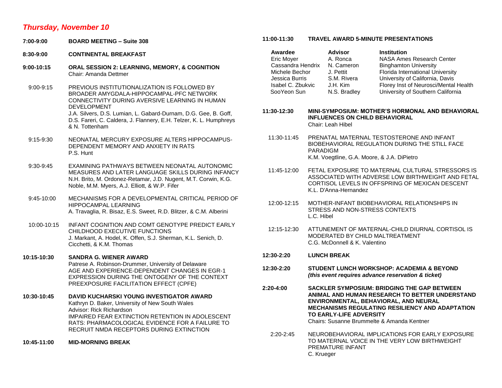### *Thursday, November 10*

- **7:00-9:00 BOARD MEETING – Suite 308**
- **8:30-9:00 CONTINENTAL BREAKFAST**
- **9:00-10:15 ORAL SESSION 2: LEARNING, MEMORY, & COGNITION** Chair: Amanda Dettmer

9:00-9:15 PREVIOUS INSTITUTIONALIZATION IS FOLLOWED BY BROADER AMYGDALA-HIPPOCAMPAL-PFC NETWORK CONNECTIVITY DURING AVERSIVE LEARNING IN HUMAN DEVELOPMENT J.A. Silvers, D.S. Lumian, L. Gabard-Durnam, D.G. Gee, B. Goff, D.S. Fareri, C. Caldera, J. Flannery, E.H. Telzer, K. L. Humphreys & N. Tottenham

- 9:15-9:30 NEONATAL MERCURY EXPOSURE ALTERS HIPPOCAMPUS-DEPENDENT MEMORY AND ANXIETY IN RATS P.S. Hunt
- 9:30-9:45 EXAMINING PATHWAYS BETWEEN NEONATAL AUTONOMIC MEASURES AND LATER LANGUAGE SKILLS DURING INFANCY N.H. Brito, M. Ordonez-Retamar, J.D. Nugent, M.T. Corwin, K.G. Noble, M.M. Myers, A.J. Elliott, & W.P. Fifer
- 9:45-10:00 MECHANISMS FOR A DEVELOPMENTAL CRITICAL PERIOD OF HIPPOCAMPAL LEARNING A. Travaglia, R. Bisaz, E.S. Sweet, R.D. Blitzer, & C.M. Alberini
- 10:00-10:15 INFANT COGNITION AND COMT GENOTYPE PREDICT EARLY CHILDHOOD EXECUTIVE FUNCTIONS J. Markant, A. Hodel, K. Offen, S.J. Sherman, K.L. Senich, D. Cicchetti, & K.M. Thomas
- **10:15-10:30 SANDRA G. WIENER AWARD** Patrese A. Robinson-Drummer, University of Delaware AGE AND EXPERIENCE-DEPENDENT CHANGES IN EGR-1 EXPRESSION DURING THE ONTOGENY OF THE CONTEXT PREEXPOSURE FACILITATION EFFECT (CPFE)
- **10:30-10:45 DAVID KUCHARSKI YOUNG INVESTIGATOR AWARD** Kathryn D. Baker, University of New South Wales Advisor: Rick Richardson IMPAIRED FEAR EXTINCTION RETENTION IN ADOLESCENT RATS: PHARMACOLOGICAL EVIDENCE FOR A FAILURE TO RECRUIT NMDA RECEPTORS DURING EXTINCTION
- **10:45-11:00 MID-MORNING BREAK**

### **11:00-11:30 TRAVEL AWARD 5-MINUTE PRESENTATIONS**

| Awardee           | <b>Advisor</b> | <b>Institution</b>                    |
|-------------------|----------------|---------------------------------------|
| Eric Moyer        | A. Ronca       | NASA Ames Research Center             |
| Cassandra Hendrix | N. Cameron     | <b>Binghamton University</b>          |
| Michele Bechor    | J. Pettit      | Florida International University      |
| Jessica Burris    | S.M. Rivera    | University of California, Davis       |
| Isabel C. Zbukvic | J.H. Kim       | Florey Inst of Neurosci/Mental Health |
| SooYeon Sun       | N.S. Bradley   | University of Southern California     |
|                   |                |                                       |

**11:30-12:30 MINI-SYMPOSIUM: MOTHER'S HORMONAL AND BEHAVIORAL INFLUENCES ON CHILD BEHAVIORAL** Chair: Leah Hibel

- 11:30-11:45 PRENATAL MATERNAL TESTOSTERONE AND INFANT BIOBEHAVIORAL REGULATION DURING THE STILL FACE PARADIGM K.M. Voegtline, G.A. Moore, & J.A. DiPietro
- 11:45-12:00 FETAL EXPOSURE TO MATERNAL CULTURAL STRESSORS IS ASSOCIATED WITH ADVERSE LOW BIRTHWEIGHT AND FETAL CORTISOL LEVELS IN OFFSPRING OF MEXICAN DESCENT K.L. D'Anna-Hernandez
- 12:00-12:15 MOTHER-INFANT BIOBEHAVIORAL RELATIONSHIPS IN STRESS AND NON-STRESS CONTEXTS L.C. Hibel
- 12:15-12:30 ATTUNEMENT OF MATERNAL-CHILD DIURNAL CORTISOL IS MODERATED BY CHILD MALTREATMENT C.G. McDonnell & K. Valentino
- **12:30-2:20 LUNCH BREAK**
- **12:30-2:20 STUDENT LUNCH WORKSHOP: ACADEMIA & BEYOND** *(this event requires advance reservation & ticket)*
- **2:20-4:00 SACKLER SYMPOSIUM: BRIDGING THE GAP BETWEEN ANIMAL AND HUMAN RESEARCH TO BETTER UNDERSTAND ENVIRONMENTAL, BEHAVIORAL, AND NEURAL MECHANISMS REGULATING RESILIENCY AND ADAPTATION TO EARLY-LIFE ADVERSITY** Chairs: Susanne Brummelte & Amanda Kentner
	- 2:20-2:45 NEUROBEHAVIORAL IMPLICATIONS FOR EARLY EXPOSURE TO MATERNAL VOICE IN THE VERY LOW BIRTHWEIGHT PREMATURE INFANT C. Krueger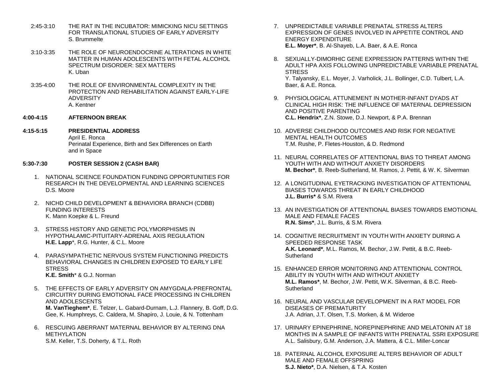- 2:45-3:10 THE RAT IN THE INCUBATOR: MIMICKING NICU SETTINGS FOR TRANSLATIONAL STUDIES OF EARLY ADVERSITY S. Brummelte
- 3:10-3:35 THE ROLE OF NEUROENDOCRINE ALTERATIONS IN WHITE MATTER IN HUMAN ADOLESCENTS WITH FETAL ALCOHOL SPECTRUM DISORDER: SEX MATTERS K. Uban
- 3:35-4:00 THE ROLE OF ENVIRONMENTAL COMPLEXITY IN THE PROTECTION AND REHABILITATION AGAINST EARLY-LIFE ADVERSITY A. Kentner
- **4:00-4:15 AFTERNOON BREAK**
- **4:15-5:15 PRESIDENTIAL ADDRESS** April E. Ronca Perinatal Experience, Birth and Sex Differences on Earth and in Space
- **5:30-7:30 POSTER SESSION 2 (CASH BAR)**
	- 1. NATIONAL SCIENCE FOUNDATION FUNDING OPPORTUNITIES FOR RESEARCH IN THE DEVELOPMENTAL AND LEARNING SCIENCES D.S. Moore
	- 2. NICHD CHILD DEVELOPMENT & BEHAVIORA BRANCH (CDBB) FUNDING INTERESTS K. Mann Koepke & L. Freund
	- 3. STRESS HISTORY AND GENETIC POLYMORPHISMS IN HYPOTHALAMIC-PITUITARY-ADRENAL AXIS REGULATION **H.E. Lapp**\*, R.G. Hunter, & C.L. Moore
	- 4. PARASYMPATHETIC NERVOUS SYSTEM FUNCTIONING PREDICTS BEHAVIORAL CHANGES IN CHILDREN EXPOSED TO EARLY LIFE **STRESS K.E. Smith**\* & G.J. Norman
	- 5. THE EFFECTS OF EARLY ADVERSITY ON AMYGDALA-PREFRONTAL CIRCUITRY DURING EMOTIONAL FACE PROCESSING IN CHILDREN AND ADOLESCENTS **M. VanTieghem\***, E. Telzer, L. Gabard-Durnam, L.J. Flannery, B. Goff, D.G. Gee, K. Humphreys, C. Caldera, M. Shapiro, J. Louie, & N. Tottenham
	- 6. RESCUING ABERRANT MATERNAL BEHAVIOR BY ALTERING DNA METHYLATION S.M. Keller, T.S. Doherty, & T.L. Roth
- 7. UNPREDICTABLE VARIABLE PRENATAL STRESS ALTERS EXPRESSION OF GENES INVOLVED IN APPETITE CONTROL AND ENERGY EXPENDITURE **E.L. Moyer\***, B. Al-Shayeb, L.A. Baer, & A.E. Ronca
- 8. SEXUALLY-DIMORHIC GENE EXPRESSION PATTERNS WITHIN THE ADULT HPA AXIS FOLLOWING UNPREDICTABLE VARIABLE PRENATAL **STRESS** Y. Talyansky, E.L. Moyer, J. Varholick, J.L. Bollinger, C.D. Tulbert, L.A. Baer, & A.E. Ronca.
- 9. PHYSIOLOGICAL ATTUNEMENT IN MOTHER-INFANT DYADS AT CLINICAL HIGH RISK: THE INFLUENCE OF MATERNAL DEPRESSION AND POSITIVE PARENTING **C.L. Hendrix\***, Z.N. Stowe, D.J. Newport, & P.A. Brennan
- 10. ADVERSE CHILDHOOD OUTCOMES AND RISK FOR NEGATIVE MENTAL HEALTH OUTCOMES T.M. Rushe, P. Fletes-Houston, & D. Redmond
- 11. NEURAL CORRELATES OF ATTENTIONAL BIAS TO THREAT AMONG YOUTH WITH AND WITHOUT ANXIETY DISORDERS **M. Bechor\***, B. Reeb-Sutherland, M. Ramos, J. Pettit, & W. K. Silverman
- 12. A LONGITUDINAL EYETRACKING INVESTIGATION OF ATTENTIONAL BIASES TOWARDS THREAT IN EARLY CHILDHOOD **J.L. Burris\*** & S.M. Rivera
- 13. AN INVESTIGATION OF ATTENTIONAL BIASES TOWARDS EMOTIONAL MALE AND FEMALE FACES **R.N. Sims\***, J.L. Burris, & S.M. Rivera
- 14. COGNITIVE RECRUITMENT IN YOUTH WITH ANXIETY DURING A SPEEDED RESPONSE TASK **A.K. Leonard\***, M.L. Ramos, M. Bechor, J.W. Pettit, & B.C. Reeb-**Sutherland**
- 15. ENHANCED ERROR MONITORING AND ATTENTIONAL CONTROL ABILITY IN YOUTH WITH AND WITHOUT ANXIETY **M.L. Ramos\***, M. Bechor, J.W. Pettit, W.K. Silverman, & B.C. Reeb-**Sutherland**
- 16. NEURAL AND VASCULAR DEVELOPMENT IN A RAT MODEL FOR DISEASES OF PREMATURITY J.A. Adrian, J.T. Olsen, T.S. Morken, & M. Wideroe
- 17. URINARY EPINEPHRINE, NOREPINEPHRINE AND MELATONIN AT 18 MONTHS IN A SAMPLE OF INFANTS WITH PRENATAL SSRI EXPOSURE A.L. Salisbury, G.M. Anderson, J.A. Mattera, & C.L. Miller-Loncar
- 18. PATERNAL ALCOHOL EXPOSURE ALTERS BEHAVIOR OF ADULT MALE AND FEMALE OFFSPRING **S.J. Nieto\***, D.A. Nielsen, & T.A. Kosten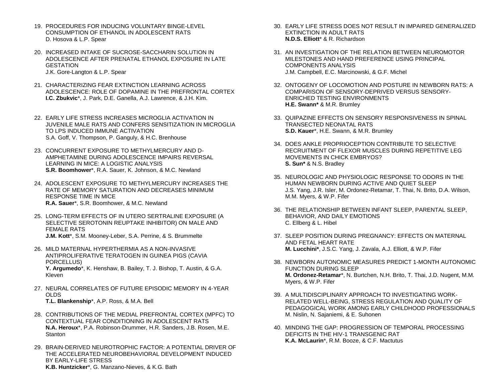- 19. PROCEDURES FOR INDUCING VOLUNTARY BINGE-LEVEL CONSUMPTION OF ETHANOL IN ADOLESCENT RATS D. Hosova & L.P. Spear
- 20. INCREASED INTAKE OF SUCROSE-SACCHARIN SOLUTION IN ADOLESCENCE AFTER PRENATAL ETHANOL EXPOSURE IN LATE **GESTATION** J.K. Gore-Langton & L.P. Spear
- 21. CHARACTERIZING FEAR EXTINCTION LEARNING ACROSS ADOLESCENCE: ROLE OF DOPAMINE IN THE PREFRONTAL CORTEX **I.C. Zbukvic**\*, J. Park, D.E. Ganella, A.J. Lawrence, & J.H. Kim.
- 22. EARLY LIFE STRESS INCREASES MICROGLIA ACTIVATION IN JUVENILE MALE RATS AND CONFERS SENSITIZATION IN MICROGLIA TO LPS INDUCED IMMUNE ACTIVATION S.A. Goff, V. Thompson, P. Ganguly, & H.C. Brenhouse
- 23. CONCURRENT EXPOSURE TO METHYLMERCURY AND D-AMPHETAMINE DURING ADOLESCENCE IMPAIRS REVERSAL LEARNING IN MICE: A LOGISTIC ANALYSIS **S.R. Boomhower**\*, R.A. Sauer, K. Johnson, & M.C. Newland
- 24. ADOLESCENT EXPOSURE TO METHYLMERCURY INCREASES THE RATE OF MEMORY SATURATION AND DECREASES MINIMUM RESPONSE TIME IN MICE **R.A. Sauer**\*, S.R. Boomhower, & M.C. Newland
- 25. LONG-TERM EFFECTS OF IN UTERO SERTRALINE EXPOSURE (A SELECTIVE SEROTONIN REUPTAKE INHIBITOR) ON MALE AND FEMALE RATS **J.M. Kott**\*, S.M. Mooney-Leber, S.A. Perrine, & S. Brummelte
- 26. MILD MATERNAL HYPERTHERMIA AS A NON-INVASIVE ANTIPROLIFERATIVE TERATOGEN IN GUINEA PIGS (CAVIA PORCELLUS) **Y. Argumedo**\*, K. Henshaw, B. Bailey, T. J. Bishop, T. Austin, & G.A. Kleven
- 27. NEURAL CORRELATES OF FUTURE EPISODIC MEMORY IN 4-YEAR OLDS **T.L. Blankenship**\*, A.P. Ross, & M.A. Bell
- 28. CONTRIBUTIONS OF THE MEDIAL PREFRONTAL CORTEX (MPFC) TO CONTEXTUAL FEAR CONDITIONING IN ADOLESCENT RATS **N.A. Heroux**\*, P.A. Robinson-Drummer, H.R. Sanders, J.B. Rosen, M.E. **Stanton**
- 29. BRAIN-DERIVED NEUROTROPHIC FACTOR: A POTENTIAL DRIVER OF THE ACCELERATED NEUROBEHAVIORAL DEVELOPMENT INDUCED BY EARLY-LIFE STRESS **K.B. Huntzicker**\*, G. Manzano-Nieves, & K.G. Bath
- 30. EARLY LIFE STRESS DOES NOT RESULT IN IMPAIRED GENERALIZED EXTINCTION IN ADULT RATS **N.D.S. Elliott**\* & R. Richardson
- 31. AN INVESTIGATION OF THE RELATION BETWEEN NEUROMOTOR MILESTONES AND HAND PREFERENCE USING PRINCIPAL COMPONENTS ANALYSIS J.M. Campbell, E.C. Marcinowski, & G.F. Michel
- 32. ONTOGENY OF LOCOMOTION AND POSTURE IN NEWBORN RATS: A COMPARISON OF SENSORY-DEPRIVED VERSUS SENSORY-ENRICHED TESTING ENVIRONMENTS **H.E. Swann\*** & M.R. Brumley
- 33. QUIPAZINE EFFECTS ON SENSORY RESPONSIVENESS IN SPINAL TRANSECTED NEONATAL RATS **S.D. Kauer**\*, H.E. Swann, & M.R. Brumley
- 34. DOES ANKLE PROPRIOCEPTION CONTRIBUTE TO SELECTIVE RECRUITMENT OF FLEXOR MUSCLES DURING REPETITIVE LEG MOVEMENTS IN CHICK EMBRYOS? **S. Sun\*** & N.S. Bradley
- 35. NEUROLOGIC AND PHYSIOLOGIC RESPONSE TO ODORS IN THE HUMAN NEWBORN DURING ACTIVE AND QUIET SLEEP J.S. Yang, J.R. Isler, M. Ordonez-Retamar, T. Thai, N. Brito, D.A. Wilson, M.M. Myers, & W.P. Fifer
- 36. THE RELATIONSHIP BETWEEN INFANT SLEEP, PARENTAL SLEEP, BEHAVIOR, AND DAILY EMOTIONS C. Ellberg & L. Hibel
- 37. SLEEP POSITION DURING PREGNANCY: EFFECTS ON MATERNAL AND FETAL HEART RATE **M. Lucchini\***, J.S.C. Yang, J. Zavala, A.J. Elliott, & W.P. Fifer
- 38. NEWBORN AUTONOMIC MEASURES PREDICT 1-MONTH AUTONOMIC FUNCTION DURING SLEEP **M. Ordonez-Retamar**\*, N. Burtchen, N.H. Brito, T. Thai, J.D. Nugent, M.M. Myers, & W.P. Fifer
- 39. A MULTIDISCIPLINARY APPROACH TO INVESTIGATING WORK-RELATED WELL-BEING, STRESS REGULATION AND QUALITY OF PEDAGOGICAL WORK AMONG EARLY CHILDHOOD PROFESSIONALS M. Nislin, N. Sajaniemi, & E. Suhonen
- 40. MINDING THE GAP: PROGRESSION OF TEMPORAL PROCESSING DEFICITS IN THE HIV-1 TRANSGENIC RAT **K.A. McLaurin**\*, R.M. Booze, & C.F. Mactutus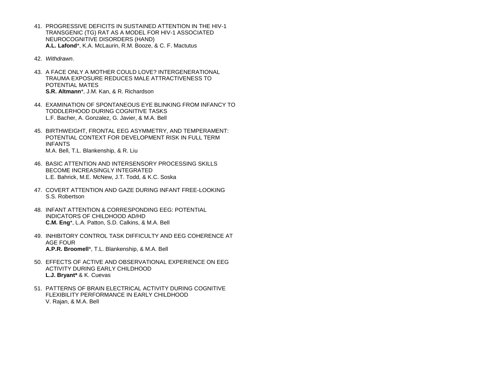- 41. PROGRESSIVE DEFICITS IN SUSTAINED ATTENTION IN THE HIV-1 TRANSGENIC (TG) RAT AS A MODEL FOR HIV-1 ASSOCIATED NEUROCOGNITIVE DISORDERS (HAND) **A.L. Lafond**\*, K.A. McLaurin, R.M. Booze, & C. F. Mactutus
- 42. *Withdrawn*.
- 43. A FACE ONLY A MOTHER COULD LOVE? INTERGENERATIONAL TRAUMA EXPOSURE REDUCES MALE ATTRACTIVENESS TO POTENTIAL MATES **S.R. Altmann**\*, J.M. Kan, & R. Richardson
- 44. EXAMINATION OF SPONTANEOUS EYE BLINKING FROM INFANCY TO TODDLERHOOD DURING COGNITIVE TASKS L.F. Bacher, A. Gonzalez, G. Javier, & M.A. Bell
- 45. BIRTHWEIGHT, FRONTAL EEG ASYMMETRY, AND TEMPERAMENT: POTENTIAL CONTEXT FOR DEVELOPMENT RISK IN FULL TERM INFANTS M.A. Bell, T.L. Blankenship, & R. Liu
- 46. BASIC ATTENTION AND INTERSENSORY PROCESSING SKILLS BECOME INCREASINGLY INTEGRATED L.E. Bahrick, M.E. McNew, J.T. Todd, & K.C. Soska
- 47. COVERT ATTENTION AND GAZE DURING INFANT FREE-LOOKING S.S. Robertson
- 48. INFANT ATTENTION & CORRESPONDING EEG: POTENTIAL INDICATORS OF CHILDHOOD AD/HD **C.M. Eng**\*, L.A. Patton, S.D. Calkins, & M.A. Bell
- 49. INHIBITORY CONTROL TASK DIFFICULTY AND EEG COHERENCE AT AGE FOUR **A.P.R. Broomell**\*, T.L. Blankenship, & M.A. Bell
- 50. EFFECTS OF ACTIVE AND OBSERVATIONAL EXPERIENCE ON EEG ACTIVITY DURING EARLY CHILDHOOD **L.J. Bryant\*** & K. Cuevas
- 51. PATTERNS OF BRAIN ELECTRICAL ACTIVITY DURING COGNITIVE FLEXIBILITY PERFORMANCE IN EARLY CHILDHOOD V. Rajan, & M.A. Bell